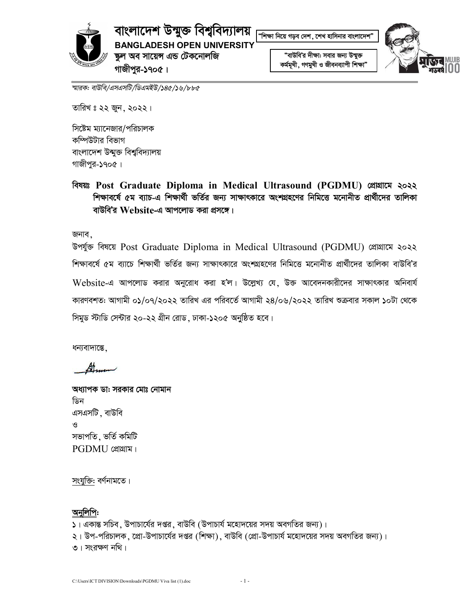

বাংলাদেশ উন্মুক্ত বিশ্ববিদ্যালয়

**BANGLADESH OPEN UNIVERSITY** 

ঙ্কুল অব সায়েন্স এন্ড টেকনোলজি গাজীপুর-১৭০৫।

, ...<br>"শিক্ষা নিয়ে গড়ব দেশ , শেখ হাসিনার বাংলাদেশ

"বাউবি'র দীক্ষা: সবার জন্য উন্মুক্ত কৰ্মমূখী, গণমুখী ও জীবনব্যাপী শিক্ষা"



স্মারক: বাউবি/এসএসটি/ডিএমইউ/১৪৫/১৬/৮৮৫

তারিখ ঃ ২২ জুন, ২০২২।

সিষ্টেম ম্যানেজার/পরিচালক কম্পিউটার বিভাগ বাংলাদেশ উন্মুক্ত বিশ্ববিদ্যালয় গাজীপুর-১৭০৫।

বিষয়ঃ Post Graduate Diploma in Medical Ultrasound (PGDMU) শ্ৰোগ্ৰামে ২০২২ শিক্ষাবর্ষে ৫ম ব্যাচ-এ শিক্ষার্থী ভর্তির জন্য সাক্ষাৎকারে অংশগ্রহণের নিমিত্তে মনোনীত প্রার্থীদের তালিকা বাউবি'র  $\bf{Web}$ site-এ আপলোড করা প্রসঙ্গে।

জনাব.

উপৰ্যুক্ত বিষয়ে Post Graduate Diploma in Medical Ultrasound (PGDMU) প্ৰোগ্ৰামে ২০২২ শিক্ষাবর্ষে ৫ম ব্যাচে শিক্ষার্থী ভর্তির জন্য সাক্ষাৎকারে অংশগ্রহণের নিমিত্তে মনোনীত প্রার্থীদের তালিকা বাউবি'র Website-এ আপলোড করার অনুরোধ করা হ'ল। উল্লেখ্য যে, উক্ত আবেদনকারীদের সাক্ষাৎকার অনিবার্য কারণবশত: আগামী ০১/০৭/২০২২ তারিখ এর পরিবর্তে আগামী ২৪/০৬/২০২২ তারিখ শুক্রবার সকাল ১০টা থেকে সিমুড স্টাডি সেন্টার ২০-২২ গ্রীন রোড, ঢাকা-১২০৫ অনুষ্ঠিত হবে।

ধন্যবাদান্তে.

অধ্যাপক ডা: সরকার মোঃ নোমান ডিন এসএসটি ় বাউবি  $\mathbf{S}$ সভাপতি, ভৰ্তি কমিটি PGDMU (প্ৰাগ্ৰাম।

সংযুক্তি: বর্ণনামতে।

### অনুলিপি:

- ১। একান্ত সচিব, উপাচার্যের দপ্তর, বাউবি (উপাচার্য মহোদয়ের সদয় অবগতির জন্য)।
- ২। উপ-পরিচালক, প্রো-উপাচার্যের দপ্তর (শিক্ষা), বাউবি (প্রো-উপাচার্য মহোদয়ের সদয় অবগতির জন্য)।

**৩। সংরক্ষণ নথি।**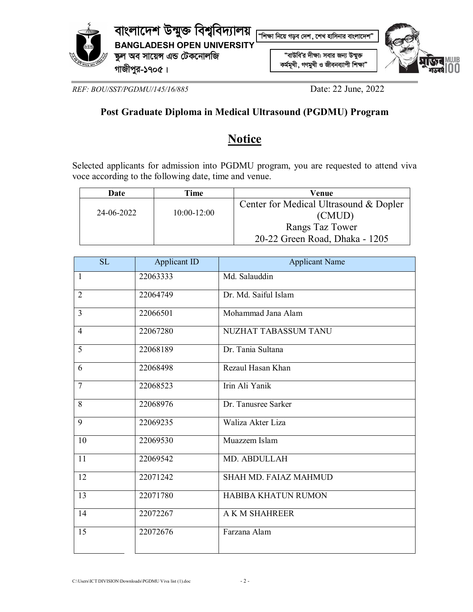

*REF: BOU/SST/PGDMU/145/16/885* Date: 22 June, 2022

## **Post Graduate Diploma in Medical Ultrasound (PGDMU) Program**

# **Notice**

Selected applicants for admission into PGDMU program, you are requested to attend viva voce according to the following date, time and venue.

| Date       | <b>Fime</b> | Venue                                  |
|------------|-------------|----------------------------------------|
| 24-06-2022 | 10:00-12:00 | Center for Medical Ultrasound & Dopler |
|            |             | (CMUD)                                 |
|            |             | Rangs Taz Tower                        |
|            |             | 20-22 Green Road, Dhaka - 1205         |

| <b>SL</b>      | Applicant ID | <b>Applicant Name</b>        |
|----------------|--------------|------------------------------|
| 1              | 22063333     | Md. Salauddin                |
| $\overline{2}$ | 22064749     | Dr. Md. Saiful Islam         |
| $\overline{3}$ | 22066501     | Mohammad Jana Alam           |
| $\overline{4}$ | 22067280     | NUZHAT TABASSUM TANU         |
| 5              | 22068189     | Dr. Tania Sultana            |
| 6              | 22068498     | Rezaul Hasan Khan            |
| $\overline{7}$ | 22068523     | Irin Ali Yanik               |
| 8              | 22068976     | Dr. Tanusree Sarker          |
| 9              | 22069235     | Waliza Akter Liza            |
| 10             | 22069530     | Muazzem Islam                |
| 11             | 22069542     | MD. ABDULLAH                 |
| 12             | 22071242     | <b>SHAH MD. FAIAZ MAHMUD</b> |
| 13             | 22071780     | HABIBA KHATUN RUMON          |
| 14             | 22072267     | A K M SHAHREER               |
| 15             | 22072676     | Farzana Alam                 |